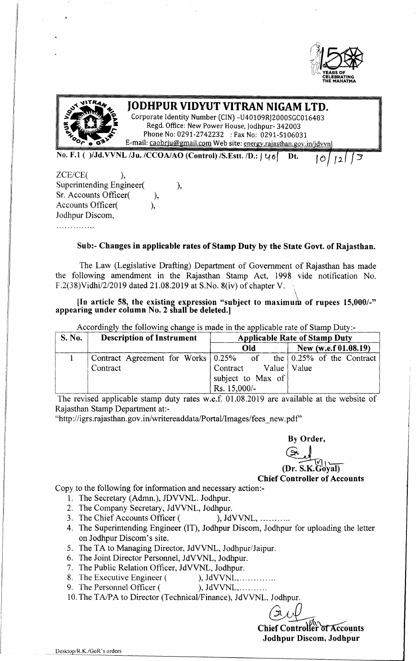



# **JODHPUR VIDYUT VITRAN NIGAM LTD.**

Corporate Identity Number (CIN) -U40109RJ2000SGC016483 Regd. Office: New Power House, Jodhpur- 342003 Phone No: 0291-2742232 : Fax No: 0291-5106031 E-mail: [caobrju@gmail.com](mailto:caobrju@gmail.com) Web site: energy.raiasthan.gov.in/jdvvnl

No. F.l ( )/Jd.VVNL /Ju. /CCOA/AO (Control) /S.Estt. *ID.: <sup>J</sup>* 40( Dt.

 $\overline{O}$ 1 2 I

*ZCE/CE( ),* Superintending Engineer(
), Sr. Accounts Officer(
), Accounts Officer(
), Jodhpur Discom, . . . . . . . . . . . . . .

# Sub:- Changes in applicable rates of Stamp Duty by the State Govt. of Rajasthan.

The Law (Legislative Drafting) Department of Government of Rajasthan has made the following amendment in the Rajasthan Stamp Act, 1998 vide notification No. F.2(38)Vidhi/2/2019 dated 21.08.2019 at S.No. 8(iv) of chapter V. \

[In article 58, the existing expression "subject to maximum of rupees  $15,000/-$ " appearing under column No.2 shall be deleted.]

|  |  | Accordingly the following change is made in the applicable rate of Stamp Duty:- |
|--|--|---------------------------------------------------------------------------------|
|  |  |                                                                                 |

| <b>S. No.</b> | <b>Description of Instrument</b>         | <b>Applicable Rate of Stamp Duty</b> |                                          |  |  |  |  |  |  |  |
|---------------|------------------------------------------|--------------------------------------|------------------------------------------|--|--|--|--|--|--|--|
|               |                                          | Old                                  | New (w.e.f 01.08.19)                     |  |  |  |  |  |  |  |
|               | Contract Agreement for Works $0.25\%$ of |                                      | the $\vert 0.25\% \vert$ of the Contract |  |  |  |  |  |  |  |
|               | Contract                                 | Contract                             | Value   Value                            |  |  |  |  |  |  |  |
|               |                                          | subject to Max of                    |                                          |  |  |  |  |  |  |  |
|               |                                          | Rs. 15,000/-                         |                                          |  |  |  |  |  |  |  |

The revised applicable stamp duty rates w.e.f. 01.08.2019 are available at the website of Rajasthan Stamp Department at:-

[''http://igrs.rajasthan.gov](http://) .in/writereaddata/Portal/Images/fees \_new. pdf"

By Order,

@J (Dr. S.K.Goyal)

Chief Controller of Accounts

Copy to the following for information and necessary action:-

- 1. The Secretary (Admn.), JDVVNL. Jodhpur.
- 2. The Company Secretary, JdVVNL, Jodhpur.
- 3. The Chief Accounts Officer ( ), JdVVNL, ...........
- 4. The Superintending Engineer (IT), Jodhpur Discom, Jodhpur for uploading the letter on Jodhpur Discom's site.
- 5. The TA to Managing Director, JdVVNL, Jodhpur/Jaipur.
- 6. The Joint Director Personnel, JdVVNL, Jodhpur.
- 7. The Public Relation Officer, JdVVNL, Jodhpur.
- 8. The Executive Engineer ( ), JdVVNL, ... ... ... ...
	- 9. The Personnel Officer ( ), JdVVNL, ... ... ...
	- 10.The *TAlPA* to Director (Technical/Finance), JdVVNL, Jodhpur.

Chief Controller of Jodhpur Discom, Jodhpur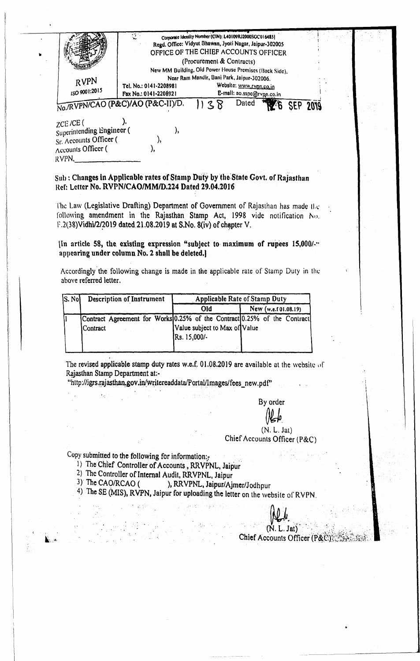| RVPN                                                                                                | -93                                                                                  | Cornorate Identity Number (CIN): L40109RJ2000SGC0164851<br>Regd. Office: Vidyut Bhawan, Jyoti Nagar, Jaipur-302005<br>OFFICE OF THE CHIEF ACCOUNTS OFFICER<br>(Procurement & Contracts)<br>New MM Building. Old Power House Premises (Back Side),<br>Near Ram Mandir, Bani Park, Jaipur-302006. |  |  |                 |  |
|-----------------------------------------------------------------------------------------------------|--------------------------------------------------------------------------------------|-------------------------------------------------------------------------------------------------------------------------------------------------------------------------------------------------------------------------------------------------------------------------------------------------|--|--|-----------------|--|
| ISO 9001:2015                                                                                       | Tel. No.: 0141-2208981<br>Fax No.: 0141-2208921<br>No./RVPN/CAO (P&C)/AO (P&C-II)/D. | Website: www.rypn.co.in<br>E-mail: ao.sspc@rvpp.co.in<br>Dated                                                                                                                                                                                                                                  |  |  | <b>SEP 2019</b> |  |
| $ZCE$ /CE $($<br>Superintending Engineer (<br>Sr. Accounts Officer (<br>Accounts Officer (<br>RVPN. |                                                                                      |                                                                                                                                                                                                                                                                                                 |  |  |                 |  |

Sub: Changes in Applicable rates of Stamp Duty by the State Govt. of Rajasthan Ref: Letter No. RVPN/CAO/MM/D.224 Dated 29.04.2016

It

The Law (Legislative Drafting) Department of Government of Rajasthan has made the following amendment in the Rajasthan Stamp Act, 1998 vide notification  $N(t)$ . F.2(38)Vidhi/2/2019 dated 21.08.2019 at S.No. 8(iv) of chapter V.

[In article 58, the, existing expression "subject to-maximum of rupees *15,OOO/-~'* appearing under column No.2 sholl be deleted.]

Accordingly the following change is made in the applicable rate of Stamp Duty in the above referred letter.

| SS. Not | <b>Description of Instrument</b> | <b>Applicable Rate of Stamp Duty</b>                                                                                      |  |  |  |  |  |  |  |  |
|---------|----------------------------------|---------------------------------------------------------------------------------------------------------------------------|--|--|--|--|--|--|--|--|
|         |                                  | New (w.e.f 01.08.19)<br>Old                                                                                               |  |  |  |  |  |  |  |  |
|         | Contract                         | Contract Agreement for Works 0.25% of the Contract 0.25% of the Contract<br>Value subject to Max of Value<br>Rs. 15,000/- |  |  |  |  |  |  |  |  |
|         |                                  |                                                                                                                           |  |  |  |  |  |  |  |  |

The revised applicable stamp duty rates w.e.f. 01.08.2019 are available at the website of Rajasthan Stamp Department at:-

"http://igrs.rajasthan.gov.in/writereaddata/Portal/Images/fees\_new.pdf"

By order

 $(N, L, Jat)$ Chief Accounts Officer (P&C)

Copy submitted to the following for information:

- 1) The Chief Controller of Accounts, RRVPNL, Jaipur
- 2) The Controller of Internal Audit, RRVPNL, Jaipur
- 3) The CAO/RCAO ( ), RRVPNL, Jaipur/Ajmer/Jodhpur
- 4) The SE (MIS), RVPN, Jaipur for uploading the letter on the website of RVPN.

 $(N. L. Jat)$ 

Chief Accounts Officer (P&C)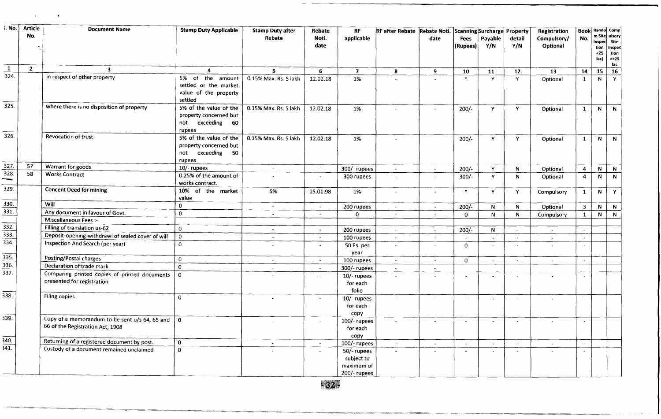| i. No.          | <b>Article</b> | <b>Document Name</b>                                                               | <b>Stamp Duty Applicable</b>                                                       | <b>Stamp Duty after</b>  | Rebate                   | <b>RF</b>                                               |                          |                          | RF after Rebate Rebate Noti. Scanning Surcharge Property |                |                | Registration             |                         | <b>Book</b> Rando Comp                               |                                 |
|-----------------|----------------|------------------------------------------------------------------------------------|------------------------------------------------------------------------------------|--------------------------|--------------------------|---------------------------------------------------------|--------------------------|--------------------------|----------------------------------------------------------|----------------|----------------|--------------------------|-------------------------|------------------------------------------------------|---------------------------------|
|                 | No.            |                                                                                    |                                                                                    | Rebate                   | Noti.<br>date            | applicable                                              |                          | date                     | Fees<br>(Rupees)                                         | Payable<br>Y/N | detail<br>Y/N  | Compulsory/<br>Optional  | No.                     | m Site ulsory<br>Inspec Site<br>tion<br>$25$<br>lac) | Inspec<br>tion<br>$>=25$<br>lac |
| $\mathbf{1}$    | $\mathbf{2}$   | $\mathbf{3}$                                                                       | 4                                                                                  | 5                        | 6                        | $\overline{\mathbf{7}}$                                 | 8                        | 9                        | 10                                                       | 11             | 12             | 13                       | 14                      | 15                                                   | 16                              |
| 324.            |                | in respect of other property                                                       | 5% of the amount<br>settled or the market<br>value of the property<br>settled      | 0.15% Max. Rs. 5 lakh    | 12.02.18                 | 1%                                                      |                          |                          | $\star$                                                  | Y              | Y              | Optional                 | 1                       | N                                                    | Y                               |
| 325             |                | where there is no disposition of property                                          | 5% of the value of the<br>property concerned but<br>not exceeding 60<br>rupees     | 0.15% Max. Rs. 5 lakh    | 12.02.18                 | 1%                                                      |                          |                          | $200/-$                                                  | Y              | Y.             | Optional                 | $\mathbf{1}$            | N                                                    | N                               |
| 326.            |                | Revocation of trust                                                                | 5% of the value of the<br>property concerned but<br>not exceeding<br>-50<br>rupees | 0.15% Max. Rs. 5 lakh    | 12.02.18                 | 1%                                                      |                          |                          | $200/-$                                                  | Y.             | Y.             | Optional                 | 1                       | N                                                    | N                               |
| 327.            | 57             | Warrant for goods                                                                  | 10/- rupees                                                                        | $\sim$                   | $\sim$                   | 300/- rupees                                            | $\tilde{\phantom{a}}$    | $\sim$                   | $200/-$                                                  | Y.             | $\mathsf{N}$   | Optional                 | $\overline{\mathbf{4}}$ | $\mathbf N$                                          | N                               |
| 328.            | 58             | <b>Works Contract</b>                                                              | 0.25% of the amount of<br>works contract.                                          |                          | $\overline{\phantom{a}}$ | 300 rupees                                              |                          |                          | $300/-$                                                  | Y.             | N.             | Optional                 | $\overline{4}$          | $\mathbf{N}$                                         | $\mathbf{N}$                    |
| 329.            |                | <b>Concent Deed for mining</b>                                                     | 10% of the market<br>value                                                         | 5%                       | 15.01.98                 | 1%                                                      | $\overline{\phantom{a}}$ | $\sim$                   | $\ast$                                                   | Y              | Y              | Compulsory               | $\mathbf{1}$            | N                                                    | Y                               |
| 330.            |                | Will                                                                               | $\bf{0}$                                                                           | $\sim$                   | $\sim$                   | 200 rupees                                              | $\sim$                   | $\sim$                   | $200/-$                                                  | $\mathsf{N}$   | N.             | Optional                 | 3 <sub>1</sub>          | N                                                    | N                               |
| 331.            |                | Any document in favour of Govt.                                                    | $\mathbf 0$                                                                        | $\sim$                   | $\sim$                   | $\mathbf 0$                                             | $\overline{\phantom{a}}$ | $\overline{\phantom{a}}$ | $\Omega$                                                 | N.             | N              | Compulsory               | $\mathbf{1}$            | $\mathsf{N}$                                         | N                               |
|                 |                | Miscellaneous Fees :-                                                              |                                                                                    |                          |                          |                                                         |                          |                          |                                                          |                |                |                          |                         |                                                      |                                 |
| 332.            |                | Filling of translation us-62                                                       | $\mathbf 0$                                                                        | $\bullet$                | $\sim$                   | 200 rupees                                              | $\sim$                   | $\omega$ .               | $200/-$                                                  | N              | $\sim$         | $\sim$                   | $\sim$                  |                                                      |                                 |
| 333.            |                | Deposit-opening-withdrawl of sealed cover of will                                  | $\mathbf 0$                                                                        | $\sim$                   | $\tilde{\phantom{a}}$    | 100 rupees                                              | $\sim$                   | $\sim$                   |                                                          | $\sim$         | $\blacksquare$ | $\overline{\phantom{a}}$ | $\sim$                  |                                                      |                                 |
| 334.            |                | Inspection And Search (per year)                                                   | $\mathbf{0}$                                                                       |                          | $\sim$                   | 50 Rs. per<br>year                                      | $\sim$                   |                          | $\mathbf{0}$                                             | $\sim$         | $\omega$       | $\sim$                   | $\sim$                  |                                                      |                                 |
| 335.            |                | Posting/Postal charges                                                             | $\mathbf 0$                                                                        | $\overline{\phantom{a}}$ | $\sim$                   | 100 rupees                                              | $\sim$                   | $\sim$                   | 0                                                        | $\blacksquare$ | $\blacksquare$ | $\overline{\phantom{a}}$ | $\sim$                  |                                                      |                                 |
| 336.            |                | Declaration of trade mark                                                          | $\Omega$                                                                           |                          | $\sim$                   | 300/- rupees                                            | $\sim$                   |                          |                                                          |                |                |                          |                         |                                                      |                                 |
| 337.            |                | Comparing printed copies of printed documents<br>presented for registration.       | $\mathbf{o}$                                                                       |                          | $\sim$                   | $10/-$ rupees<br>for each<br>folio                      |                          | $\sim$                   | $\sim$                                                   | $\sim$         | $\sim$         |                          | $\sim$                  |                                                      |                                 |
| 338.            |                | <b>Filing copies</b>                                                               | $\mathbf 0$                                                                        | $\overline{\phantom{a}}$ | $\blacksquare$           | $10$ /-rupees<br>for each                               |                          | $\sim$                   | $\sim$                                                   | $\sim$         | $\blacksquare$ | ÷.                       | $\sim$                  |                                                      |                                 |
| 339.            |                | Copy of a memorandum to be sent u/s 64, 65 and<br>66 of the Registration Act, 1908 | $\overline{0}$                                                                     | $\omega$                 | $\sim$                   | copy<br>$100/-$ rupees<br>for each                      | $\sim$                   | $\sim$                   | $\sim$                                                   | $\sim$         | $\sim$         | $\sim$                   | $\sim$                  |                                                      |                                 |
| 340.            |                | Returning of a registered document by post.                                        | $\mathbf{0}$                                                                       |                          | $\sim$                   | copy<br>100/- rupees                                    | $\sim$                   | $\blacksquare$           | $\overline{a}$                                           | $\sim$         | $\sim$         | $\sim$                   | $\sim$                  |                                                      |                                 |
| $\frac{1}{341}$ |                | Custody of a document remained unclaimed                                           | $\mathbf{0}$                                                                       |                          | $\sim$                   | 50/- rupees<br>subject to<br>maximum of<br>200/- rupees |                          |                          | $\overline{\phantom{a}}$                                 |                | $\omega$       |                          | $\sim$                  |                                                      |                                 |

 $\alpha$ 

 $\cdot$ 

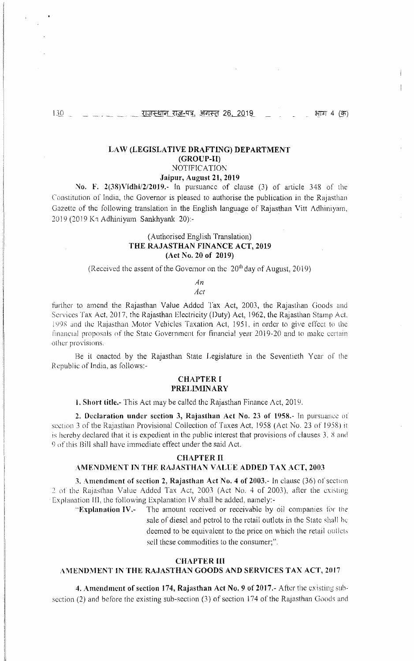$\mathbf{I}$ 

### LAW (LEGISLATIVE DRAFTING) DEPARTMENT (GROUP-H) **NOTIFICATION**

# Jaipur, August 21, 2019

No. F. 2(38) Vidhi/2/2019.- In pursuance of clause (3) of article 348 of the Constitution of India, the Governor is pleased to authorise the publication in the Rajasthan Gazette of the following translation in the English language of Rajasthan Vitt Adhiniyam, 2019 (2019 Ka Adhiniyam Sankhyank 20):-

# (Authorised English Translation) THE RAJASTHAN FINANCE ACT, 2019 (Act No. 20 of 2019)

(Received the assent of the Governor on the  $20<sup>th</sup>$  day of August, 2019)

#### *An Act*

further to amend the Rajasthan Value Added Tax Act, 2003, the Rajasthan Goods and Services Tax Act, 2017, the Rajasthan Electricity (Duty) Act, 1962, the Rajasthan Stamp Act 1998 and the Rajasthan Motor Vehicles Taxation Act, 1951, in order to give effect to the financial proposals of the State Government for financial year 2019-20 and to make certain other provisions.

Be it enacted by the Rajasthan State Legislature in the Seventieth Year of the Republic of India, as follows:-

## **CHAPTER I** PRELIMINARY

1. Short titlc.- This Act may be called the Rajasthan Finance Act, 2019.

2. Declaration under section 3, Rajasthan Act No. 23 of 1958.- In pursuance of section 3 of the Rajasthan Provisional Collection of Taxes Act, 1958 (Act No. 23 of 1958) it is hereby declared that it is expedient in the public interest that provisions of clauses  $3$ ,  $8$  and 9 of this Bill shall have immediate effect under the said Act.

## CHAPTER II

### AMENDMENT IN THE RAJASTHAN VALUE ADDED TAX ACT, 2003

3. Amendment of section 2, Rajasthan Act No. 4 of 2003.- In clause (36) of section 2 of the Rajasthan Value Added Tax Act, 2003 (Act No.4 of 2003), after the existing Explanation III, the following Explanation IV shall be added, namely:-

"Explanation IV.- The amount received or receivable by oil companies tor the sale of diesel and petrol to the retail outlets in the State shall he deemed to be equivalent to the price on which the retail outlets sell these commodities to the consumer;".

# CHAPTER **HI**

#### AMENDMENT IN THE RAJASTHAN GOODS AND SERVICES TAX ACT, 2017.

4. Amendment of section 174, Rajasthan Act No.9 of 2017.- After the existing subsection (2) and before the existing sub-section (3) of section 174 of the Rajasthan Goods and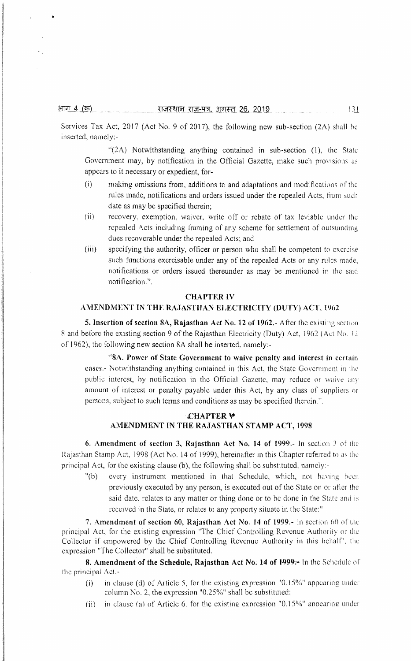भाग 4 (क)

Services Tax Act, 2017 (Act No. 9 of 2017), the following new sub-section (2A) shall be inserted, namely:-

 $\frac{1}{2A}$  Notwithstanding anything contained in sub-section (1), the State Government may, by notification in the Official Gazette, make such provisions as appears to it necessary or expedient, for-

- (i) making omissions from, additions to and adaptations and modifications of' the rules made, notifications and orders issued under the repealed Acts, from such date as may be specified therein;
- (ii) recovery, exemption, waiver, write off or rebate of tax leviable under the repealed Acts including framing of any scheme for settlement of outstanding dues recoverable under the repealed Acts; and
- (iii) specifying the authority, officer or person who shall be competent to exercise such functions exercisable under any of the repealed Acts or any rules made, notifications or orders issued thereunder as may be mentioned in the said notification.".

#### CHAPTER IV

# AMENDMENT IN THE RAJASTHAN ELECTRICITY (DUTY) ACT, 1962

5. Insertion of section 8A, Rajasthan Act No. 12 of 1962.- After the existing section 8 and before the existing section 9 of the Rajasthan Electricity (Duty) Act, 1962 (Act No. 12 of 1962), the following new section 8A shall be inserted, namely-

"SA. Power of State Government to waive penalty and interest in certain cases.- Notwithstanding anything contained in this Act, the State Government in the public interest, hy notification in the Official Gazette, may reduce or waive any amount of interest or penalty payable under this Act, by any class of suppliers or persons, subject to such terms and conditions as may be specified therein.".

# £HAPTER \\* AMENDMENT IN THE RAJASTHAN STAMP ACT, 1998

6. Amendment of section 3, Rajasthan Act No. 14 of 1999. $\sim$  In section 3 of the Rajasthan Stamp Act, 1998 (Act No. 14 of 1999), hereinafter in this Chapter referred to as the principal Act, for the existing clause (b), the following shall be substituted, namely:-

"(b) every instrument mentioned in that Schedule, which, not having been previously executed by any person, is executed out of the State on or after the said date, relates to any matter or thing done or to be done in the State and is received in the State, or relates to any property situate in the State:"

7. Amendment of section 60, Rajasthan Act No. 14 of 1999. $\text{-}$  in section 60 of the principal Act, for the existing expression "The Chief Controlling Revenue Authority or the Collector if empowered by the Chief Controlling Revenue Authority in this behalf", the expression "The Collector" shall be substituted.

8. Amendment of the Schedule, Rajasthan Act No. 14 of  $1999$ <sup> $\mu$ </sup> in the Schedule of the principal  $Act.$ -

- (i) in clause (d) of Article 5, for the existing expression "0.15%" appearing under column No.2, the expression "0.25%" shall be substituted:
- (ii) in clause (a) of Article 6. for the existing expression "0.15%" appearing under